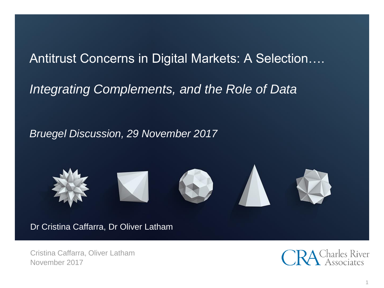# Antitrust Concerns in Digital Markets: A Selection….

## *Integrating Complements, and the Role of Data*

### *Bruegel Discussion, 29 November 2017*



Dr Cristina Caffarra, Dr Oliver Latham

Cristina Caffarra, Oliver Latham November 2017

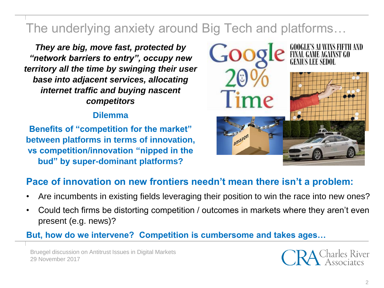# The underlying anxiety around Big Tech and platforms…

*They are big, move fast, protected by "network barriers to entry", occupy new territory all the time by swinging their user base into adjacent services, allocating internet traffic and buying nascent competitors*

### **Dilemma**

**Benefits of "competition for the market" between platforms in terms of innovation, vs competition/innovation "nipped in the bud" by super-dominant platforms?**



### **Pace of innovation on new frontiers needn't mean there isn't a problem:**

- Are incumbents in existing fields leveraging their position to win the race into new ones?
- Could tech firms be distorting competition / outcomes in markets where they aren't even present (e.g. news)?

### **But, how do we intervene? Competition is cumbersome and takes ages…**

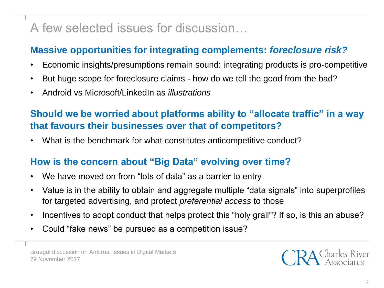# A few selected issues for discussion…

## **Massive opportunities for integrating complements:** *foreclosure risk?*

- Economic insights/presumptions remain sound: integrating products is pro-competitive
- But huge scope for foreclosure claims how do we tell the good from the bad?
- Android vs Microsoft/LinkedIn as *illustrations*

### **Should we be worried about platforms ability to "allocate traffic" in a way that favours their businesses over that of competitors?**

• What is the benchmark for what constitutes anticompetitive conduct?

### **How is the concern about "Big Data" evolving over time?**

- We have moved on from "lots of data" as a barrier to entry
- Value is in the ability to obtain and aggregate multiple "data signals" into superprofiles for targeted advertising, and protect *preferential access* to those
- Incentives to adopt conduct that helps protect this "holy grail"? If so, is this an abuse?
- Could "fake news" be pursued as a competition issue?

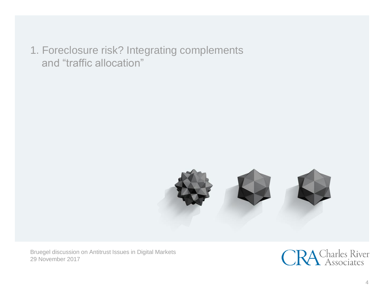1. Foreclosure risk? Integrating complements and "traffic allocation"



Bruegel discussion on Antitrust Issues in Digital Markets 29 November 2017

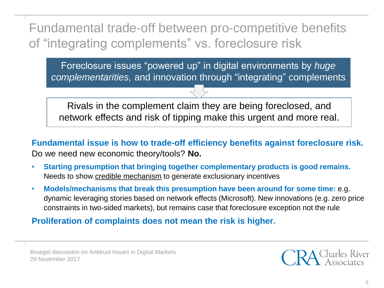Fundamental trade-off between pro-competitive benefits of "integrating complements" vs. foreclosure risk

Foreclosure issues "powered up" in digital environments by *huge complementarities,* and innovation through "integrating" complements

Rivals in the complement claim they are being foreclosed, and network effects and risk of tipping make this urgent and more real.

**Fundamental issue is how to trade-off efficiency benefits against foreclosure risk.**  Do we need new economic theory/tools? **No.**

- **Starting presumption that bringing together complementary products is good remains.**  Needs to show credible mechanism to generate exclusionary incentives
- **Models/mechanisms that break this presumption have been around for some time:** e.g. dynamic leveraging stories based on network effects (Microsoft). New innovations (e.g. zero price constraints in two-sided markets), but remains case that foreclosure exception not the rule

**Proliferation of complaints does not mean the risk is higher.**

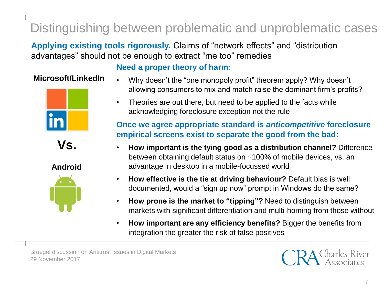# Distinguishing between problematic and unproblematic cases

**Applying existing tools rigorously.** Claims of "network effects" and "distribution advantages" should not be enough to extract "me too" remedies

### **Microsoft/LinkedIn**





**Android**



### **Need a proper theory of harm:**

- Why doesn't the "one monopoly profit" theorem apply? Why doesn't allowing consumers to mix and match raise the dominant firm's profits?
- Theories are out there, but need to be applied to the facts while acknowledging foreclosure exception not the rule

### **Once we agree appropriate standard is** *anticompetitive* **foreclosure empirical screens exist to separate the good from the bad:**

- **How important is the tying good as a distribution channel?** Difference between obtaining default status on ~100% of mobile devices, vs. an advantage in desktop in a mobile-focussed world
- **How effective is the tie at driving behaviour?** Default bias is well documented, would a "sign up now" prompt in Windows do the same?
- **How prone is the market to "tipping"?** Need to distinguish between markets with significant differentiation and multi-homing from those without
- **How important are any efficiency benefits?** Bigger the benefits from integration the greater the risk of false positives

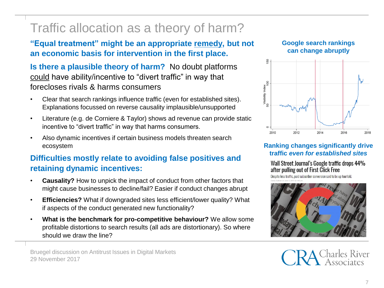# Traffic allocation as a theory of harm?

**"Equal treatment" might be an appropriate remedy, but not an economic basis for intervention in the first place.**

**Is there a plausible theory of harm?** No doubt platforms could have ability/incentive to "divert traffic" in way that forecloses rivals & harms consumers

- Clear that search rankings influence traffic (even for established sites). Explanations focussed on reverse causality implausible/unsupported
- Literature (e.g. de Corniere & Taylor) shows ad revenue can provide static incentive to "divert traffic" in way that harms consumers.
- Also dynamic incentives if certain business models threaten search ecosystem

### **Difficulties mostly relate to avoiding false positives and retaining dynamic incentives:**

- **Causality?** How to unpick the impact of conduct from other factors that might cause businesses to decline/fail? Easier if conduct changes abrupt
- **Efficiencies?** What if downgraded sites less efficient/lower quality? What if aspects of the conduct generated new functionality?
- **What is the benchmark for pro-competitive behaviour?** We allow some profitable distortions to search results (all ads are distortionary). So where should we draw the line?

#### Bruegel discussion on Antitrust Issues in Digital Markets 29 November 2017

#### **Google search rankings can change abruptly**



#### **Ranking changes significantly drive traffic** *even for established sites*

Wall Street Journal's Google traffic drops 44% after pulling out of First Click Free

Despite less traffic, paid subscriber conversion said to be up fourfold.

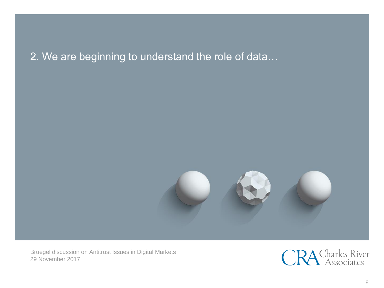## 2. We are beginning to understand the role of data…



Bruegel discussion on Antitrust Issues in Digital Markets 29 November 2017

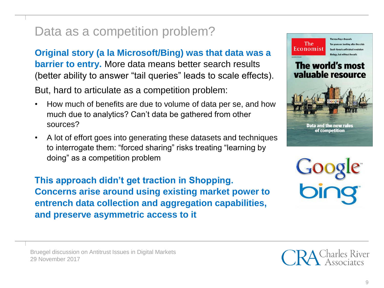# Data as a competition problem?

**Original story (a la Microsoft/Bing) was that data was a barrier to entry.** More data means better search results (better ability to answer "tail queries" leads to scale effects).

But, hard to articulate as a competition problem:

- How much of benefits are due to volume of data per se, and how much due to analytics? Can't data be gathered from other sources?
- A lot of effort goes into generating these datasets and techniques to interrogate them: "forced sharing" risks treating "learning by doing" as a competition problem

**This approach didn't get traction in Shopping. Concerns arise around using existing market power to entrench data collection and aggregation capabilities, and preserve asymmetric access to it**



Bruegel discussion on Antitrust Issues in Digital Markets 29 November 2017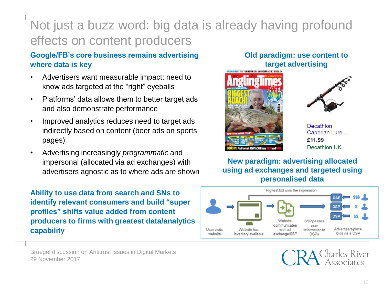# Not just a buzz word: big data is already having profound effects on content producers

#### **Google/FB's core business remains advertising where data is key**

- Advertisers want measurable impact: need to know ads targeted at the "right" eyeballs
- Platforms' data allows them to better target ads and also demonstrate performance
- Improved analytics reduces need to target ads indirectly based on content (beer ads on sports pages)
- Advertising increasingly *programmatic* and impersonal (allocated via ad exchanges) with advertisers agnostic as to where ads are shown

**Ability to use data from search and SNs to identify relevant consumers and build "super profiles" shifts value added from content producers to firms with greatest data/analytics capability** 

Bruegel discussion on Antitrust Issues in Digital Markets 29 November 2017

#### **Old paradigm: use content to target advertising**





Decathlon Caperlan Lure ... £11.99 Decathlon UK

**New paradigm: advertising allocated using ad exchanges and targeted using personalised data**

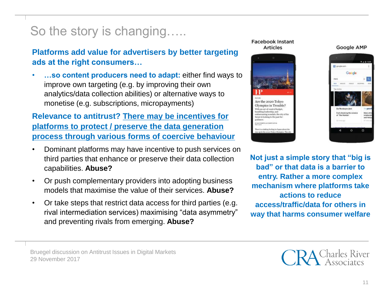# So the story is changing…..

**Platforms add value for advertisers by better targeting ads at the right consumers…**

• **…so content producers need to adapt:** either find ways to improve own targeting (e.g. by improving their own analytics/data collection abilities) or alternative ways to monetise (e.g. subscriptions, micropayments)

**Relevance to antitrust? There may be incentives for platforms to protect / preserve the data generation process through various forms of coercive behaviour**

- Dominant platforms may have incentive to push services on third parties that enhance or preserve their data collection capabilities. **Abuse?**
- Or push complementary providers into adopting business models that maximise the value of their services. **Abuse?**
- Or take steps that restrict data access for third parties (e.g. rival intermediation services) maximising "data asymmetry" and preventing rivals from emerging. **Abuse?**

#### **Facebook Instant Articles**







**Not just a simple story that "big is bad" or that data is a barrier to entry. Rather a more complex mechanism where platforms take actions to reduce access/traffic/data for others in way that harms consumer welfare**

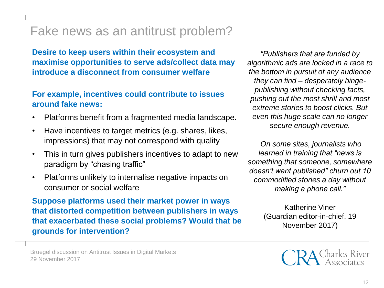## Fake news as an antitrust problem?

**Desire to keep users within their ecosystem and maximise opportunities to serve ads/collect data may introduce a disconnect from consumer welfare** 

#### **For example, incentives could contribute to issues around fake news:**

- Platforms benefit from a fragmented media landscape.
- Have incentives to target metrics (e.g. shares, likes, impressions) that may not correspond with quality
- This in turn gives publishers incentives to adapt to new paradigm by "chasing traffic"
- Platforms unlikely to internalise negative impacts on consumer or social welfare

**Suppose platforms used their market power in ways that distorted competition between publishers in ways that exacerbated these social problems? Would that be grounds for intervention?** 

*"Publishers that are funded by algorithmic ads are locked in a race to the bottom in pursuit of any audience they can find – desperately bingepublishing without checking facts, pushing out the most shrill and most extreme stories to boost clicks. But even this huge scale can no longer secure enough revenue.*

*On some sites, journalists who learned in training that "news is something that someone, somewhere doesn't want published" churn out 10 commodified stories a day without making a phone call."* 

> Katherine Viner (Guardian editor-in-chief, 19 November 2017)